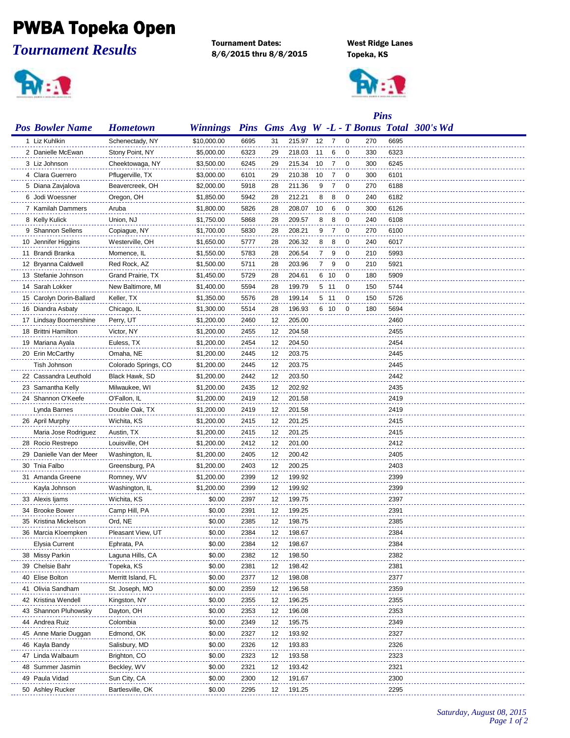## PWBA Topeka Open

*Tournament Results*

 $\mathbf{R}$  :  $\mathbf{R}$ 

Tournament Dates: West Ridge Lanes 8/6/2015 thru 8/8/2015 Topeka, KS



|                          | <b>Pins</b>          |                 |      |    |        |     |                |   |     |      |                                            |
|--------------------------|----------------------|-----------------|------|----|--------|-----|----------------|---|-----|------|--------------------------------------------|
| <b>Pos Bowler Name</b>   | <b>Hometown</b>      | <b>Winnings</b> |      |    |        |     |                |   |     |      | Pins Gms Avg W -L - T Bonus Total 300's Wd |
| 1 Liz Kuhlkin            | Schenectady, NY      | \$10,000.00     | 6695 | 31 | 215.97 | 12  | $\overline{7}$ | 0 | 270 | 6695 |                                            |
| 2 Danielle McEwan        | Stony Point, NY      | \$5,000.00      | 6323 | 29 | 218.03 | -11 | 6              | 0 | 330 | 6323 |                                            |
| 3 Liz Johnson            | Cheektowaga, NY      | \$3,500.00      | 6245 | 29 | 215.34 | 10  | 7              | 0 | 300 | 6245 |                                            |
| 4 Clara Guerrero         | Pflugerville, TX     | \$3,000.00      | 6101 | 29 | 210.38 | 10  | 7              | 0 | 300 | 6101 |                                            |
| 5 Diana Zavjalova        | Beavercreek, OH      | \$2,000.00      | 5918 | 28 | 211.36 | 9   | 7              | 0 | 270 | 6188 |                                            |
| 6 Jodi Woessner          | Oregon, OH           | \$1,850.00      | 5942 | 28 | 212.21 | 8   | 8              | 0 | 240 | 6182 |                                            |
| 7 Kamilah Dammers        | Aruba                | \$1,800.00      | 5826 | 28 | 208.07 | 10  | 6              | 0 | 300 | 6126 |                                            |
| 8 Kelly Kulick           | Union, NJ            | \$1,750.00      | 5868 | 28 | 209.57 | 8   | 8              | 0 | 240 | 6108 |                                            |
| 9 Shannon Sellens        | Copiague, NY         | \$1,700.00      | 5830 | 28 | 208.21 | 9   | -7             | 0 | 270 | 6100 |                                            |
| 10 Jennifer Higgins      | Westerville, OH      | \$1,650.00      | 5777 | 28 | 206.32 | 8   | 8              | 0 | 240 | 6017 |                                            |
| 11 Brandi Branka         | Momence, IL          | \$1,550.00      | 5783 | 28 | 206.54 | 7   | 9              | 0 | 210 | 5993 |                                            |
| 12 Bryanna Caldwell      | Red Rock, AZ         | \$1,500.00      | 5711 | 28 | 203.96 | 7   | 9              | 0 | 210 | 5921 |                                            |
| 13 Stefanie Johnson      | Grand Prairie, TX    | \$1,450.00      | 5729 | 28 | 204.61 |     | 6 10           | 0 | 180 | 5909 |                                            |
| 14 Sarah Lokker          | New Baltimore, MI    | \$1,400.00      | 5594 | 28 | 199.79 |     | 5 11           | 0 | 150 | 5744 |                                            |
| 15 Carolyn Dorin-Ballard | Keller, TX           | \$1,350.00      | 5576 | 28 | 199.14 |     | 5 11           | 0 | 150 | 5726 |                                            |
| 16 Diandra Asbaty        | Chicago, IL          | \$1,300.00      | 5514 | 28 | 196.93 |     | 6 10           | 0 | 180 | 5694 |                                            |
| 17 Lindsay Boomershine   | Perry, UT            | \$1,200.00      | 2460 | 12 | 205.00 |     |                |   |     | 2460 |                                            |
| 18 Brittni Hamilton      | Victor, NY           | \$1,200.00      | 2455 | 12 | 204.58 |     |                |   |     | 2455 |                                            |
| 19 Mariana Ayala         | Euless, TX           | \$1,200.00      | 2454 | 12 | 204.50 |     |                |   |     | 2454 |                                            |
| 20 Erin McCarthy         | Omaha, NE            | \$1,200.00      | 2445 | 12 | 203.75 |     |                |   |     | 2445 |                                            |
| Tish Johnson             | Colorado Springs, CO | \$1,200.00      | 2445 | 12 | 203.75 |     |                |   |     | 2445 |                                            |
| 22 Cassandra Leuthold    | Black Hawk, SD       | \$1,200.00      | 2442 | 12 | 203.50 |     |                |   |     | 2442 |                                            |
| 23 Samantha Kelly        | Milwaukee, WI        | \$1,200.00      | 2435 | 12 | 202.92 |     |                |   |     | 2435 |                                            |
| 24 Shannon O'Keefe       | O'Fallon, IL         | \$1,200.00      | 2419 | 12 | 201.58 |     |                |   |     | 2419 |                                            |
| Lynda Barnes             | Double Oak, TX       | \$1,200.00      | 2419 | 12 | 201.58 |     |                |   |     | 2419 |                                            |
| 26 April Murphy          | Wichita, KS          | \$1,200.00      | 2415 | 12 | 201.25 |     |                |   |     | 2415 |                                            |
| Maria Jose Rodriguez     | Austin, TX           | \$1,200.00      | 2415 | 12 | 201.25 |     |                |   |     | 2415 |                                            |
| 28 Rocio Restrepo        | Louisville, OH       | \$1,200.00      | 2412 | 12 | 201.00 |     |                |   |     | 2412 |                                            |
| 29 Danielle Van der Meer | Washington, IL       | \$1,200.00      | 2405 | 12 | 200.42 |     |                |   |     | 2405 |                                            |
| 30 Tnia Falbo            | Greensburg, PA       | \$1,200.00      | 2403 | 12 | 200.25 |     |                |   |     | 2403 |                                            |
| 31 Amanda Greene         | Romney, WV           | \$1,200.00      | 2399 | 12 | 199.92 |     |                |   |     | 2399 |                                            |
| Kayla Johnson            | Washington, IL       | \$1,200.00      | 2399 | 12 | 199.92 |     |                |   |     | 2399 |                                            |
| 33 Alexis Ijams          | Wichita, KS          | \$0.00          | 2397 | 12 | 199.75 |     |                |   |     | 2397 |                                            |
| 34 Brooke Bower          | Camp Hill, PA        | \$0.00          | 2391 | 12 | 199.25 |     |                |   |     | 2391 |                                            |
| 35 Kristina Mickelson    | Ord, NE              | \$0.00          | 2385 | 12 | 198.75 |     |                |   |     | 2385 |                                            |
| 36 Marcia Kloempken      | Pleasant View, UT    | \$0.00          | 2384 | 12 | 198.67 |     |                |   |     | 2384 |                                            |
| Elysia Current           | Ephrata, PA          | \$0.00          | 2384 | 12 | 198.67 |     |                |   |     | 2384 |                                            |
| 38 Missy Parkin          | Laguna Hills, CA     | \$0.00          | 2382 | 12 | 198.50 |     |                |   |     | 2382 |                                            |
| 39 Chelsie Bahr          | Topeka, KS           | \$0.00          | 2381 | 12 | 198.42 |     |                |   |     | 2381 |                                            |
| 40 Elise Bolton          | Merritt Island, FL   | \$0.00          | 2377 | 12 | 198.08 |     |                |   |     | 2377 |                                            |
| 41 Olivia Sandham        | St. Joseph, MO       | \$0.00          | 2359 | 12 | 196.58 |     |                |   |     | 2359 |                                            |
| 42 Kristina Wendell      | Kingston, NY         | \$0.00          | 2355 | 12 | 196.25 |     |                |   |     | 2355 |                                            |
| 43 Shannon Pluhowsky     | Dayton, OH           | \$0.00          | 2353 | 12 | 196.08 |     |                |   |     | 2353 |                                            |
| 44 Andrea Ruiz           | Colombia             | \$0.00          | 2349 | 12 | 195.75 |     |                |   |     | 2349 |                                            |
| 45 Anne Marie Duggan     | Edmond, OK           | \$0.00          | 2327 | 12 | 193.92 |     |                |   |     | 2327 |                                            |
| 46 Kayla Bandy           | Salisbury, MD        | \$0.00          | 2326 | 12 | 193.83 |     |                |   |     | 2326 |                                            |
| 47 Linda Walbaum         | Brighton, CO         | \$0.00          | 2323 | 12 | 193.58 |     |                |   |     | 2323 |                                            |
| 48 Summer Jasmin         | Beckley, WV          | \$0.00          | 2321 | 12 | 193.42 |     |                |   |     | 2321 |                                            |
| 49 Paula Vidad           | Sun City, CA         | \$0.00          | 2300 | 12 | 191.67 |     |                |   |     | 2300 |                                            |
| 50 Ashley Rucker         | Bartlesville, OK     | \$0.00          | 2295 | 12 | 191.25 |     |                |   |     | 2295 |                                            |